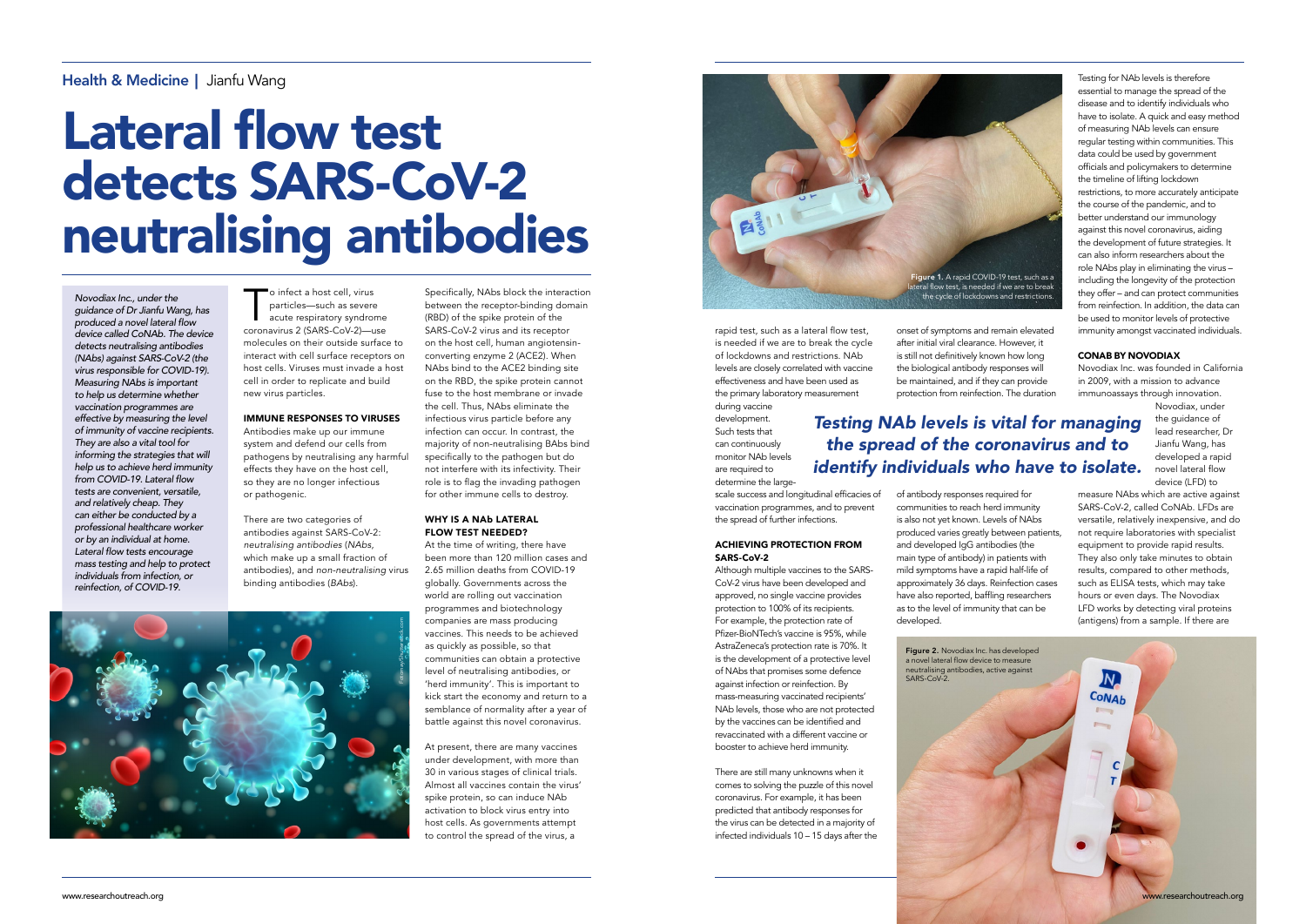o infect a host cell, virus<br>
particles—such as severe<br>
acute respiratory syndrome<br>
coronavirus 2 (SARS-CoV-2)—use particles—such as severe coronavirus 2 (SARS-CoV-2)—use molecules on their outside surface to interact with cell surface receptors on host cells. Viruses must invade a host cell in order to replicate and build new virus particles.

### IMMUNE RESPONSES TO VIRUSES

Antibodies make up our immune system and defend our cells from pathogens by neutralising any harmful effects they have on the host cell, so they are no longer infectious or pathogenic.

There are two categories of antibodies against SARS-CoV-2: *neutralising antibodies* (*NAbs*, which make up a small fraction of antibodies), and *non-neutralising* virus binding antibodies (*BAbs*).

Specifically, NAbs block the interaction between the receptor-binding domain (RBD) of the spike protein of the SARS-CoV-2 virus and its receptor on the host cell, human angiotensinconverting enzyme 2 (ACE2). When NAbs bind to the ACE2 binding site on the RBD, the spike protein cannot fuse to the host membrane or invade the cell. Thus, NAbs eliminate the infectious virus particle before any infection can occur. In contrast, the majority of non-neutralising BAbs bind specifically to the pathogen but do not interfere with its infectivity. Their role is to flag the invading pathogen for other immune cells to destroy.

#### WHY IS A NAb LATERAL FLOW TEST NEEDED?

At the time of writing, there have been more than 120 million cases and 2.65 million deaths from COVID-19 globally. Governments across the world are rolling out vaccination programmes and biotechnology companies are mass producing vaccines. This needs to be achieved as quickly as possible, so that communities can obtain a protective level of neutralising antibodies, or 'herd immunity'. This is important to kick start the economy and return to a semblance of normality after a year of battle against this novel coronavirus.

At present, there are many vaccines under development, with more than 30 in various stages of clinical trials. Almost all vaccines contain the virus' spike protein, so can induce NAb activation to block virus entry into host cells. As governments attempt to control the spread of the virus, a

## Health & Medicine | Jianfu Wang

# Lateral flow test detects SARS-CoV-2 neutralising antibodies

*Novodiax Inc., under the guidance of Dr Jianfu Wang, has*  produced a novel lateral flow *device called CoNAb. The device detects neutralising antibodies (NAbs) against SARS-CoV-2 (the virus responsible for COVID-19). Measuring NAbs is important*  to help us determine whether *vaccination programmes are effective by measuring the level of immunity of vaccine recipients. They are also a vital tool for*  informing the strategies that will *help us to achieve herd immunity*  from COVID-19. Lateral flow *tests are convenient, versatile, and relatively cheap. They can either be conducted by a*  professional healthcare worker *or by an individual at home.*  Lateral flow tests encourage *mass testing and help to protect individuals from infection, or reinfection, of COVID-19.*

rapid test, such as a lateral flow test, is needed if we are to break the cycle of lockdowns and restrictions. NAb levels are closely correlated with vaccine effectiveness and have been used as the primary laboratory measurement during vaccine

development. Such tests that can continuously monitor NAb levels are required to determine the large-

> Figure 2. Novodiax Inc. has developed a novel lateral flow device to measure neutralising antibodies, active against SARS-CoV-2

scale success and longitudinal efficacies of vaccination programmes, and to prevent the spread of further infections.

#### ACHIEVING PROTECTION FROM SARS-CoV-2

Although multiple vaccines to the SARS-CoV-2 virus have been developed and approved, no single vaccine provides protection to 100% of its recipients. For example, the protection rate of Pfizer-BioNTech's vaccine is 95%, while AstraZeneca's protection rate is 70%. It is the development of a protective level of NAbs that promises some defence against infection or reinfection. By mass-measuring vaccinated recipients' NAb levels, those who are not protected by the vaccines can be identified and revaccinated with a different vaccine or booster to achieve herd immunity.

There are still many unknowns when it comes to solving the puzzle of this novel coronavirus. For example, it has been predicted that antibody responses for the virus can be detected in a majority of infected individuals 10 – 15 days after the

onset of symptoms and remain elevated after initial viral clearance. However, it is still not definitively known how long the biological antibody responses will be maintained, and if they can provide protection from reinfection. The duration

of antibody responses required for communities to reach herd immunity is also not yet known. Levels of NAbs produced varies greatly between patients, and developed IgG antibodies (the main type of antibody) in patients with mild symptoms have a rapid half-life of approximately 36 days. Reinfection cases have also reported, baffling researchers as to the level of immunity that can be developed.

Testing for NAb levels is therefore essential to manage the spread of the disease and to identify individuals who have to isolate. A quick and easy method of measuring NAb levels can ensure regular testing within communities. This data could be used by government officials and policymakers to determine the timeline of lifting lockdown restrictions, to more accurately anticipate the course of the pandemic, and to better understand our immunology against this novel coronavirus, aiding the development of future strategies. It can also inform researchers about the role NAbs play in eliminating the virus – including the longevity of the protection they offer – and can protect communities from reinfection. In addition, the data can be used to monitor levels of protective immunity amongst vaccinated individuals.

### CONAB BY NOVODIAX

Novodiax Inc. was founded in California in 2009, with a mission to advance immunoassays through innovation.

> Novodiax, under the quidance of lead researcher, Dr Jianfu Wang, has developed a rapid novel lateral flow device (LFD) to

measure NAbs which are active against SARS-CoV-2, called CoNAb. LFDs are versatile, relatively inexpensive, and do not require laboratories with specialist equipment to provide rapid results. They also only take minutes to obtain results, compared to other methods, such as ELISA tests, which may take hours or even days. The Novodiax LFD works by detecting viral proteins (antigens) from a sample. If there are

## *Testing NAb levels is vital for managing the spread of the coronavirus and to*  identify individuals who have to isolate.